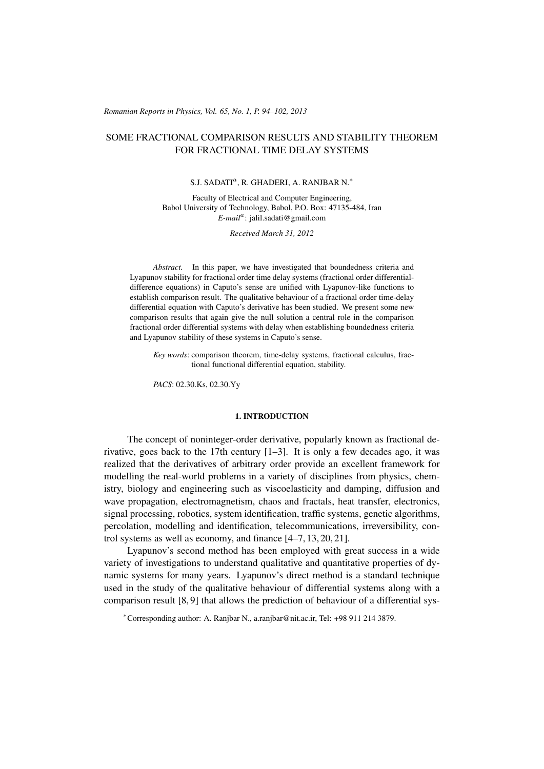#### (c) RRP 65(No. 1) 94–102 2013 *Romanian Reports in Physics, Vol. 65, No. 1, P. 94–102, 2013*

# SOME FRACTIONAL COMPARISON RESULTS AND STABILITY THEOREM FOR FRACTIONAL TIME DELAY SYSTEMS

# S.J. SADATI<sup>a</sup>, R. GHADERI, A. RANJBAR N.<sup>\*</sup>

Faculty of Electrical and Computer Engineering, Babol University of Technology, Babol, P.O. Box: 47135-484, Iran *E-mail*<sup>a</sup> : jalil.sadati@gmail.com

*Received March 31, 2012*

*Abstract.* In this paper, we have investigated that boundedness criteria and Lyapunov stability for fractional order time delay systems (fractional order differentialdifference equations) in Caputo's sense are unified with Lyapunov-like functions to establish comparison result. The qualitative behaviour of a fractional order time-delay differential equation with Caputo's derivative has been studied. We present some new comparison results that again give the null solution a central role in the comparison fractional order differential systems with delay when establishing boundedness criteria and Lyapunov stability of these systems in Caputo's sense.

*Key words*: comparison theorem, time-delay systems, fractional calculus, fractional functional differential equation, stability.

*PACS*: 02.30.Ks, 02.30.Yy

## 1. INTRODUCTION

The concept of noninteger-order derivative, popularly known as fractional derivative, goes back to the 17th century [1–3]. It is only a few decades ago, it was realized that the derivatives of arbitrary order provide an excellent framework for modelling the real-world problems in a variety of disciplines from physics, chemistry, biology and engineering such as viscoelasticity and damping, diffusion and wave propagation, electromagnetism, chaos and fractals, heat transfer, electronics, signal processing, robotics, system identification, traffic systems, genetic algorithms, percolation, modelling and identification, telecommunications, irreversibility, control systems as well as economy, and finance [4–7, 13, 20, 21].

Lyapunov's second method has been employed with great success in a wide variety of investigations to understand qualitative and quantitative properties of dynamic systems for many years. Lyapunov's direct method is a standard technique used in the study of the qualitative behaviour of differential systems along with a comparison result [8, 9] that allows the prediction of behaviour of a differential sys-

<sup>∗</sup>Corresponding author: A. Ranjbar N., a.ranjbar@nit.ac.ir, Tel: +98 911 214 3879.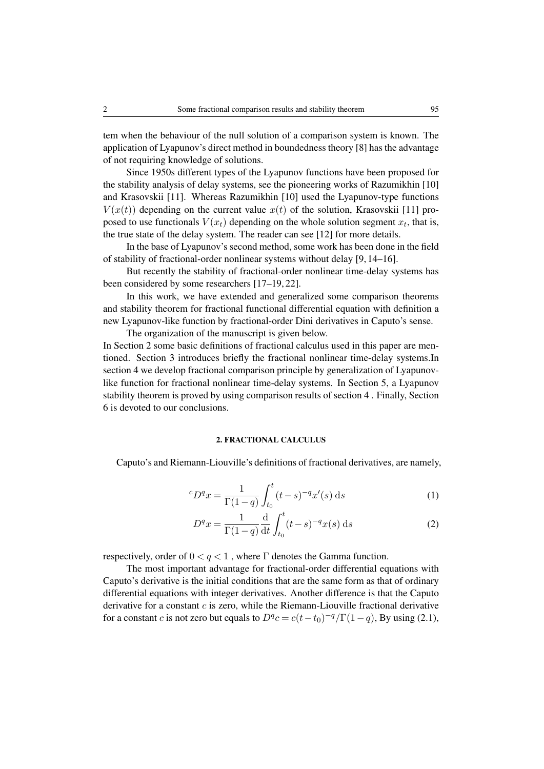tem when the behaviour of the null solution of a comparison system is known. The application of Lyapunov's direct method in boundedness theory [8] has the advantage of not requiring knowledge of solutions.

Since 1950s different types of the Lyapunov functions have been proposed for the stability analysis of delay systems, see the pioneering works of Razumikhin [10] and Krasovskii [11]. Whereas Razumikhin [10] used the Lyapunov-type functions  $V(x(t))$  depending on the current value  $x(t)$  of the solution, Krasovskii [11] proposed to use functionals  $V(x_t)$  depending on the whole solution segment  $x_t$ , that is, the true state of the delay system. The reader can see [12] for more details.

In the base of Lyapunov's second method, some work has been done in the field of stability of fractional-order nonlinear systems without delay [9, 14–16].

But recently the stability of fractional-order nonlinear time-delay systems has been considered by some researchers [17–19, 22].

In this work, we have extended and generalized some comparison theorems and stability theorem for fractional functional differential equation with definition a new Lyapunov-like function by fractional-order Dini derivatives in Caputo's sense.

The organization of the manuscript is given below.

In Section 2 some basic definitions of fractional calculus used in this paper are mentioned. Section 3 introduces briefly the fractional nonlinear time-delay systems.In section 4 we develop fractional comparison principle by generalization of Lyapunovlike function for fractional nonlinear time-delay systems. In Section 5, a Lyapunov stability theorem is proved by using comparison results of section 4 . Finally, Section 6 is devoted to our conclusions.

## 2. FRACTIONAL CALCULUS

Caputo's and Riemann-Liouville's definitions of fractional derivatives, are namely,

$$
{}^{c}D^{q}x = \frac{1}{\Gamma(1-q)} \int_{t_0}^{t} (t-s)^{-q} x'(s) \, \mathrm{d}s \tag{1}
$$

$$
D^{q}x = \frac{1}{\Gamma(1-q)} \frac{d}{dt} \int_{t_0}^{t} (t-s)^{-q} x(s) \, ds \tag{2}
$$

respectively, order of  $0 < q < 1$ , where  $\Gamma$  denotes the Gamma function.

The most important advantage for fractional-order differential equations with Caputo's derivative is the initial conditions that are the same form as that of ordinary differential equations with integer derivatives. Another difference is that the Caputo derivative for a constant  $c$  is zero, while the Riemann-Liouville fractional derivative for a constant *c* is not zero but equals to  $D^q c = c(t-t_0)^{-q} / \Gamma(1-q)$ , By using (2.1),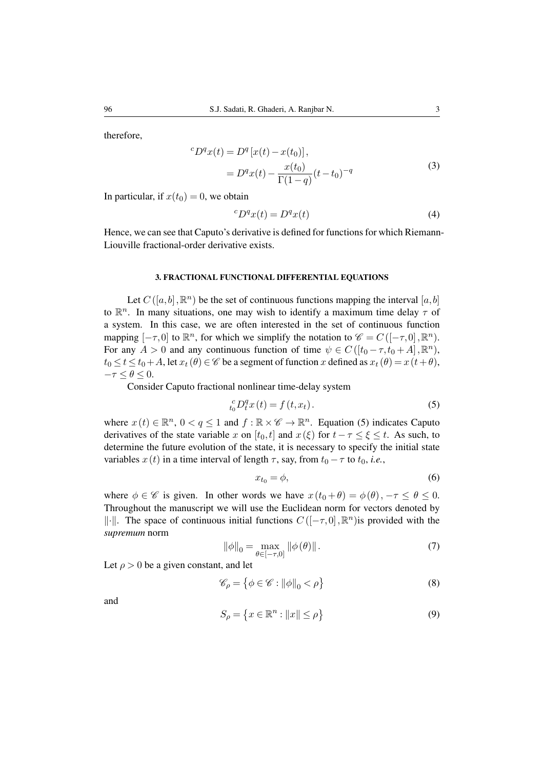therefore,

$$
{}^{c}D^{q}x(t) = D^{q}[x(t) - x(t_{0})],
$$
  
= 
$$
D^{q}x(t) - \frac{x(t_{0})}{\Gamma(1-q)}(t-t_{0})^{-q}
$$
 (3)

In particular, if  $x(t_0) = 0$ , we obtain

$$
{}^{c}D^{q}x(t) = D^{q}x(t)
$$
\n<sup>(4)</sup>

Hence, we can see that Caputo's derivative is defined for functions for which Riemann-Liouville fractional-order derivative exists.

## 3. FRACTIONAL FUNCTIONAL DIFFERENTIAL EQUATIONS

Let  $C([a, b], \mathbb{R}^n)$  be the set of continuous functions mapping the interval  $[a, b]$ to  $\mathbb{R}^n$ . In many situations, one may wish to identify a maximum time delay  $\tau$  of a system. In this case, we are often interested in the set of continuous function mapping  $[-\tau,0]$  to  $\mathbb{R}^n$ , for which we simplify the notation to  $\mathscr{C} = C([-\tau,0], \mathbb{R}^n)$ . For any  $A > 0$  and any continuous function of time  $\psi \in C([t_0 - \tau, t_0 + A], \mathbb{R}^n)$ ,  $t_0 \le t \le t_0+A$ , let  $x_t(\theta) \in \mathscr{C}$  be a segment of function x defined as  $x_t(\theta) = x(t+\theta)$ ,  $-\tau \leq \theta \leq 0.$ 

Consider Caputo fractional nonlinear time-delay system

$$
{}_{t_0}^c D_t^q x(t) = f(t, x_t).
$$
 (5)

where  $x(t) \in \mathbb{R}^n$ ,  $0 < q \le 1$  and  $f : \mathbb{R} \times \mathscr{C} \to \mathbb{R}^n$ . Equation (5) indicates Caputo derivatives of the state variable x on  $[t_0, t]$  and  $x(\xi)$  for  $t - \tau \leq \xi \leq t$ . As such, to determine the future evolution of the state, it is necessary to specify the initial state variables  $x(t)$  in a time interval of length  $\tau$ , say, from  $t_0 - \tau$  to  $t_0$ , *i.e.*,

$$
x_{t_0} = \phi,\tag{6}
$$

where  $\phi \in \mathscr{C}$  is given. In other words we have  $x(t_0 + \theta) = \phi(\theta), -\tau \le \theta \le 0$ . Throughout the manuscript we will use the Euclidean norm for vectors denoted by  $\|\cdot\|$ . The space of continuous initial functions  $C([-\tau,0],\mathbb{R}^n)$  is provided with the *supremum* norm

$$
\|\phi\|_{0} = \max_{\theta \in [-\tau, 0]} \|\phi(\theta)\|.
$$
 (7)

Let  $\rho > 0$  be a given constant, and let

$$
\mathcal{C}_{\rho} = \left\{ \phi \in \mathcal{C} : ||\phi||_{0} < \rho \right\} \tag{8}
$$

and

$$
S_{\rho} = \left\{ x \in \mathbb{R}^n : ||x|| \le \rho \right\}
$$
 (9)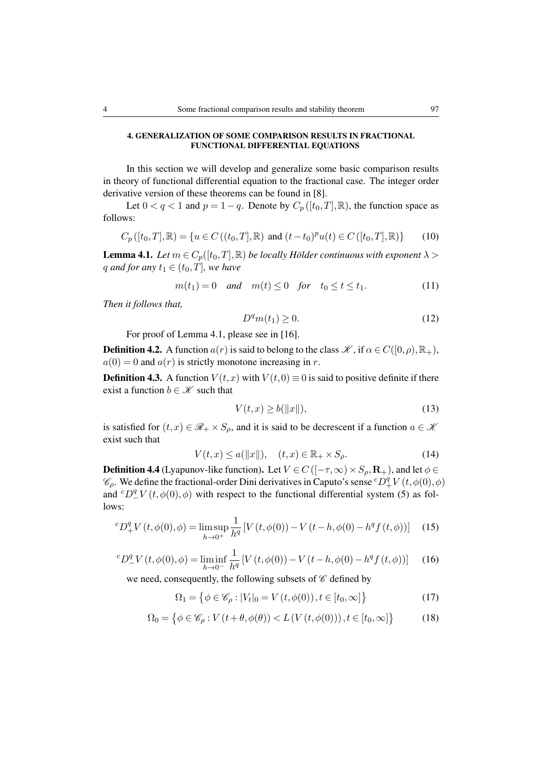## 4. GENERALIZATION OF SOME COMPARISON RESULTS IN FRACTIONAL FUNCTIONAL DIFFERENTIAL EQUATIONS

In this section we will develop and generalize some basic comparison results in theory of functional differential equation to the fractional case. The integer order derivative version of these theorems can be found in [8].

Let  $0 < q < 1$  and  $p = 1 - q$ . Denote by  $C_p([t_0, T], \mathbb{R})$ , the function space as follows:

$$
C_p([t_0, T], \mathbb{R}) = \{ u \in C((t_0, T], \mathbb{R}) \text{ and } (t - t_0)^p u(t) \in C([t_0, T], \mathbb{R}) \}
$$
(10)

**Lemma 4.1.** *Let*  $m \in C_p([t_0, T], \mathbb{R})$  *be locally Hölder continuous with exponent*  $\lambda >$ q and for any  $t_1 \in (t_0, T]$ *, we have* 

$$
m(t_1) = 0 \quad and \quad m(t) \le 0 \quad for \quad t_0 \le t \le t_1. \tag{11}
$$

*Then it follows that,*

$$
D^q m(t_1) \ge 0. \tag{12}
$$

For proof of Lemma 4.1, please see in [16].

**Definition 4.2.** A function  $a(r)$  is said to belong to the class  $\mathcal{K}$ , if  $\alpha \in C([0,\rho), \mathbb{R}_+)$ ,  $a(0) = 0$  and  $a(r)$  is strictly monotone increasing in r.

**Definition 4.3.** A function  $V(t, x)$  with  $V(t, 0) \equiv 0$  is said to positive definite if there exist a function  $b \in \mathcal{K}$  such that

$$
V(t,x) \ge b(||x||),\tag{13}
$$

is satisfied for  $(t, x) \in \mathcal{R}_+ \times S_0$ , and it is said to be decrescent if a function  $a \in \mathcal{K}$ exist such that

$$
V(t,x) \le a(\|x\|), \quad (t,x) \in \mathbb{R}_+ \times S_\rho. \tag{14}
$$

**Definition 4.4** (Lyapunov-like function). Let  $V \in C([- \tau, \infty) \times S_{\rho}, \mathbf{R}_{+})$ , and let  $\phi \in$  $\mathcal{C}_{\rho}$ . We define the fractional-order Dini derivatives in Caputo's sense  ${}^cD^q_+V(t, \phi(0), \phi)$ and <sup>c</sup> $D_{-}^{q}V(t, \phi(0), \phi)$  with respect to the functional differential system (5) as follows:

$$
{}^{c}D_{+}^{q}V(t,\phi(0),\phi) = \limsup_{h \to 0^{+}} \frac{1}{h^{q}} \left[ V(t,\phi(0)) - V(t-h,\phi(0) - h^{q}f(t,\phi)) \right] \tag{15}
$$

$$
{}^{c}D_{-}^{q}V(t,\phi(0),\phi) = \liminf_{h \to 0^{-}} \frac{1}{h^{q}} \left[ V(t,\phi(0)) - V(t-h,\phi(0) - h^{q}f(t,\phi)) \right] \tag{16}
$$

we need, consequently, the following subsets of  $\mathscr C$  defined by

$$
\Omega_1 = \left\{ \phi \in \mathcal{C}_\rho : |V_t|_0 = V(t, \phi(0)), t \in [t_0, \infty] \right\}
$$
\n
$$
(17)
$$

$$
\Omega_0 = \left\{ \phi \in \mathcal{C}_\rho : V(t + \theta, \phi(\theta)) < L(V(t, \phi(0))), t \in [t_0, \infty] \right\} \tag{18}
$$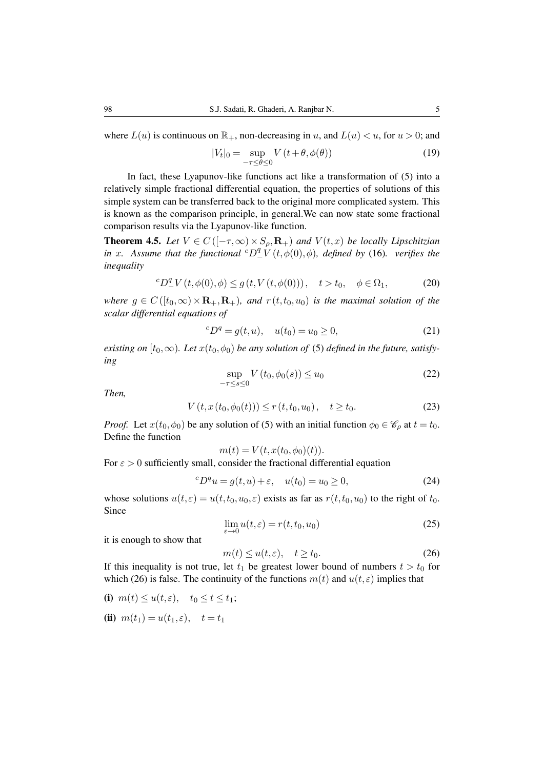where  $L(u)$  is continuous on  $\mathbb{R}_+$ , non-decreasing in u, and  $L(u) < u$ , for  $u > 0$ ; and

$$
|V_t|_0 = \sup_{-\tau \le \theta \le 0} V(t + \theta, \phi(\theta))
$$
\n(19)

In fact, these Lyapunov-like functions act like a transformation of (5) into a relatively simple fractional differential equation, the properties of solutions of this simple system can be transferred back to the original more complicated system. This is known as the comparison principle, in general.We can now state some fractional comparison results via the Lyapunov-like function.

**Theorem 4.5.** *Let*  $V \in C([- \tau, \infty) \times S_\rho, \mathbf{R}_+)$  *and*  $V(t, x)$  *be locally Lipschitzian in* x. Assume that the functional  ${}^cD^q_{-}V(t, \phi(0), \phi)$ , defined by (16). verifies the *inequality*

$$
{}^{c}D_{-}^{q}V(t,\phi(0),\phi) \le g(t,V(t,\phi(0))), \quad t > t_{0}, \quad \phi \in \Omega_{1}, \tag{20}
$$

*where*  $g \in C([t_0,\infty) \times \mathbf{R}_+, \mathbf{R}_+)$ *, and*  $r(t,t_0,u_0)$  *is the maximal solution of the scalar differential equations of*

$$
{}^{c}D^{q} = g(t, u), \quad u(t_0) = u_0 \ge 0,
$$
\n(21)

*existing on*  $[t_0, \infty)$ *. Let*  $x(t_0, \phi_0)$  *be any solution of* (5) *defined in the future, satisfying*

$$
\sup_{-\tau \le s \le 0} V(t_0, \phi_0(s)) \le u_0 \tag{22}
$$

*Then,*

$$
V(t, x(t_0, \phi_0(t))) \le r(t, t_0, u_0), \quad t \ge t_0.
$$
 (23)

*Proof.* Let  $x(t_0, \phi_0)$  be any solution of (5) with an initial function  $\phi_0 \in \mathcal{C}_{\rho}$  at  $t = t_0$ . Define the function

$$
m(t) = V(t, x(t_0, \phi_0)(t)).
$$

For  $\epsilon > 0$  sufficiently small, consider the fractional differential equation

$$
{}^{c}D^{q}u = g(t, u) + \varepsilon, \quad u(t_0) = u_0 \ge 0,
$$
\n<sup>(24)</sup>

whose solutions  $u(t,\varepsilon) = u(t,t_0,u_0,\varepsilon)$  exists as far as  $r(t,t_0,u_0)$  to the right of  $t_0$ . Since

$$
\lim_{\varepsilon \to 0} u(t,\varepsilon) = r(t,t_0,u_0) \tag{25}
$$

it is enough to show that

$$
m(t) \le u(t,\varepsilon), \quad t \ge t_0. \tag{26}
$$

If this inequality is not true, let  $t_1$  be greatest lower bound of numbers  $t > t_0$  for which (26) is false. The continuity of the functions  $m(t)$  and  $u(t,\varepsilon)$  implies that

(i) 
$$
m(t) \le u(t, \varepsilon)
$$
,  $t_0 \le t \le t_1$ ;

**(ii)** 
$$
m(t_1) = u(t_1, \varepsilon), \quad t = t_1
$$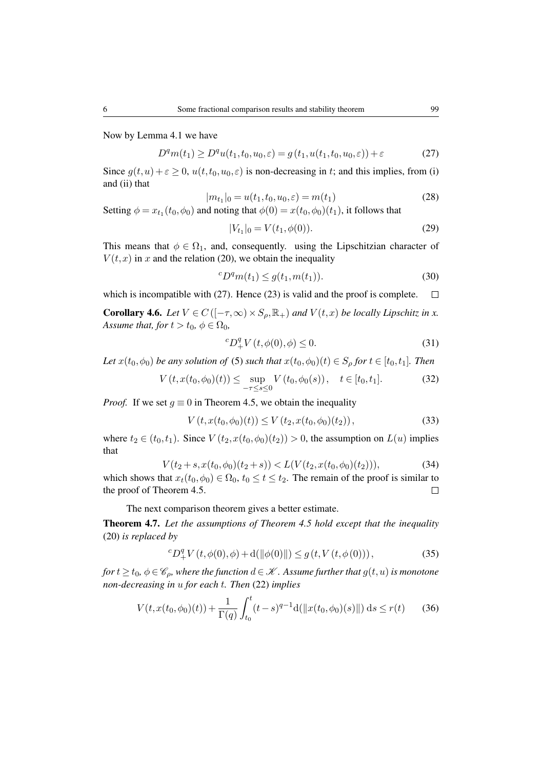Now by Lemma 4.1 we have

$$
D^{q}m(t_{1}) \ge D^{q}u(t_{1}, t_{0}, u_{0}, \varepsilon) = g(t_{1}, u(t_{1}, t_{0}, u_{0}, \varepsilon)) + \varepsilon
$$
\n(27)

Since  $g(t, u) + \varepsilon \ge 0$ ,  $u(t, t_0, u_0, \varepsilon)$  is non-decreasing in t; and this implies, from (i) and (ii) that

$$
|m_{t_1}|_0 = u(t_1, t_0, u_0, \varepsilon) = m(t_1)
$$
\n(28)

Setting  $\phi = x_{t_1}(t_0, \phi_0)$  and noting that  $\phi(0) = x(t_0, \phi_0)(t_1)$ , it follows that

$$
|V_{t_1}|_0 = V(t_1, \phi(0)).
$$
\n(29)

This means that  $\phi \in \Omega_1$ , and, consequently. using the Lipschitzian character of  $V(t, x)$  in x and the relation (20), we obtain the inequality

$$
{}^{c}D^{q}m(t_{1}) \leq g(t_{1}, m(t_{1})). \tag{30}
$$

which is incompatible with (27). Hence (23) is valid and the proof is complete.  $\Box$ 

**Corollary 4.6.** *Let*  $V \in C([- \tau, \infty) \times S_{\rho}, \mathbb{R}_+)$  *and*  $V(t, x)$  *be locally Lipschitz in x. Assume that, for*  $t > t_0$ ,  $\phi \in \Omega_0$ ,

$$
{}^{c}D_{+}^{q}V(t,\phi(0),\phi) \leq 0.
$$
 (31)

*Let*  $x(t_0, \phi_0)$  *be any solution of* (5) *such that*  $x(t_0, \phi_0)(t) \in S_\rho$  *for*  $t \in [t_0, t_1]$ *. Then* 

$$
V(t, x(t_0, \phi_0)(t)) \le \sup_{-\tau \le s \le 0} V(t_0, \phi_0(s)), \quad t \in [t_0, t_1]. \tag{32}
$$

*Proof.* If we set  $g \equiv 0$  in Theorem 4.5, we obtain the inequality

$$
V(t, x(t_0, \phi_0)(t)) \le V(t_2, x(t_0, \phi_0)(t_2)),
$$
\n(33)

where  $t_2 \in (t_0, t_1)$ . Since  $V(t_2, x(t_0, \phi_0)(t_2)) > 0$ , the assumption on  $L(u)$  implies that

$$
V(t_2+s, x(t_0, \phi_0)(t_2+s)) < L(V(t_2, x(t_0, \phi_0)(t_2))),\tag{34}
$$

which shows that  $x_t(t_0, \phi_0) \in \Omega_0$ ,  $t_0 \le t \le t_2$ . The remain of the proof is similar to the proof of Theorem 4.5.  $\Box$ 

The next comparison theorem gives a better estimate.

Theorem 4.7. *Let the assumptions of Theorem 4.5 hold except that the inequality* (20) *is replaced by*

$$
{}^{c}D_{+}^{q}V(t,\phi(0),\phi) + d(||\phi(0)||) \le g(t,V(t,\phi(0))), \qquad (35)
$$

*for*  $t \ge t_0$ ,  $\phi \in \mathscr{C}_{\rho}$ , where the function  $d \in \mathscr{K}$ . Assume further that  $g(t, u)$  is monotone *non-decreasing in* u *for each* t*. Then* (22) *implies*

$$
V(t, x(t_0, \phi_0)(t)) + \frac{1}{\Gamma(q)} \int_{t_0}^t (t - s)^{q-1} d(\|x(t_0, \phi_0)(s)\|) ds \le r(t) \qquad (36)
$$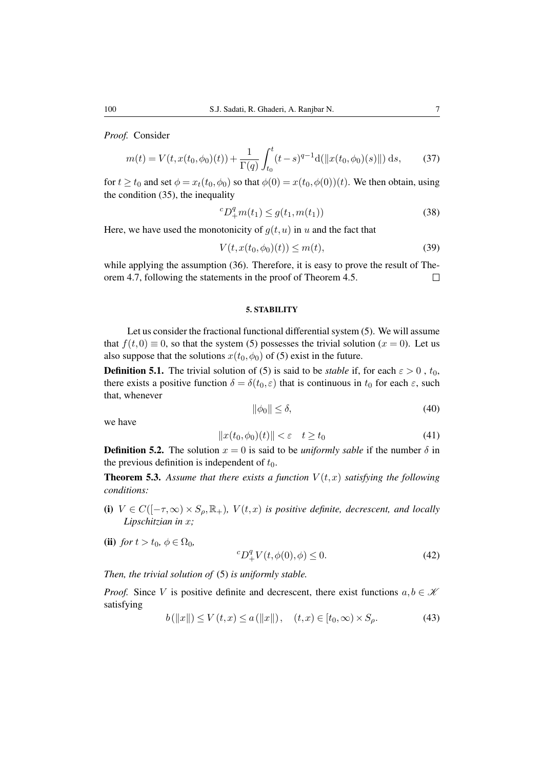*Proof.* Consider

$$
m(t) = V(t, x(t_0, \phi_0)(t)) + \frac{1}{\Gamma(q)} \int_{t_0}^t (t - s)^{q-1} d(\|x(t_0, \phi_0)(s)\|) ds,
$$
 (37)

for  $t \ge t_0$  and set  $\phi = x_t(t_0, \phi_0)$  so that  $\phi(0) = x(t_0, \phi(0))(t)$ . We then obtain, using the condition (35), the inequality

$$
{}^{c}D_{+}^{q}m(t_{1}) \leq g(t_{1}, m(t_{1})) \tag{38}
$$

Here, we have used the monotonicity of  $q(t, u)$  in u and the fact that

$$
V(t, x(t_0, \phi_0)(t)) \le m(t),
$$
\n(39)

while applying the assumption (36). Therefore, it is easy to prove the result of Theorem 4.7, following the statements in the proof of Theorem 4.5.  $\Box$ 

#### 5. STABILITY

Let us consider the fractional functional differential system (5). We will assume that  $f(t,0) \equiv 0$ , so that the system (5) possesses the trivial solution (x = 0). Let us also suppose that the solutions  $x(t_0, \phi_0)$  of (5) exist in the future.

**Definition 5.1.** The trivial solution of (5) is said to be *stable* if, for each  $\varepsilon > 0$ ,  $t_0$ , there exists a positive function  $\delta = \delta(t_0, \varepsilon)$  that is continuous in  $t_0$  for each  $\varepsilon$ , such that, whenever

$$
\|\phi_0\| \le \delta,\tag{40}
$$

we have

$$
||x(t_0, \phi_0)(t)|| < \varepsilon \quad t \ge t_0 \tag{41}
$$

**Definition 5.2.** The solution  $x = 0$  is said to be *uniformly sable* if the number  $\delta$  in the previous definition is independent of  $t_0$ .

**Theorem 5.3.** Assume that there exists a function  $V(t, x)$  satisfying the following *conditions:*

- (i)  $V \in C([- \tau, \infty) \times S_{\rho}, \mathbb{R}_+)$ ,  $V(t, x)$  *is positive definite, decrescent, and locally Lipschitzian in* x*;*
- (ii) *for*  $t > t_0$ ,  $\phi \in \Omega_0$ ,

$$
{}^{c}D_{+}^{q}V(t,\phi(0),\phi) \le 0.
$$
\n(42)

*Then, the trivial solution of* (5) *is uniformly stable.*

*Proof.* Since V is positive definite and decrescent, there exist functions  $a, b \in \mathcal{K}$ satisfying

$$
b(||x||) \le V(t, x) \le a(||x||), \quad (t, x) \in [t_0, \infty) \times S_\rho.
$$
 (43)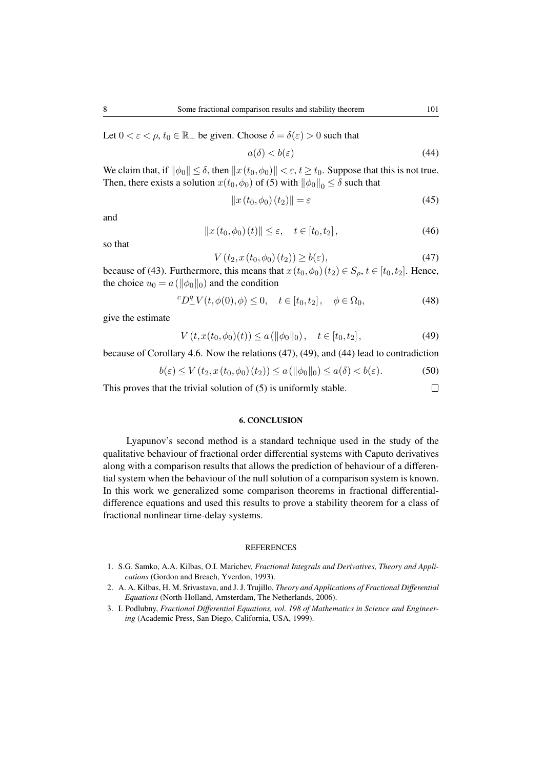Let  $0 < \varepsilon < \rho$ ,  $t_0 \in \mathbb{R}_+$  be given. Choose  $\delta = \delta(\varepsilon) > 0$  such that

$$
a(\delta) < b(\varepsilon) \tag{44}
$$

We claim that, if  $\|\phi_0\| \leq \delta$ , then  $\|x(t_0, \phi_0)\| < \varepsilon$ ,  $t \geq t_0$ . Suppose that this is not true. Then, there exists a solution  $x(t_0, \phi_0)$  of (5) with  $\|\phi_0\|_0 \leq \delta$  such that

$$
||x(t_0, \phi_0)(t_2)|| = \varepsilon \tag{45}
$$

and

$$
||x(t_0, \phi_0)(t)|| \le \varepsilon, \quad t \in [t_0, t_2], \tag{46}
$$

so that

$$
V(t_2, x(t_0, \phi_0)(t_2)) \ge b(\varepsilon),\tag{47}
$$

because of (43). Furthermore, this means that  $x(t_0, \phi_0)$  ( $t_2$ )  $\in S_o$ ,  $t \in [t_0, t_2]$ . Hence, the choice  $u_0 = a(||\phi_0||_0)$  and the condition

$$
{}^{c}D_{-}^{q}V(t, \phi(0), \phi) \le 0, \quad t \in [t_0, t_2], \quad \phi \in \Omega_0,
$$
 (48)

give the estimate

$$
V(t, x(t_0, \phi_0)(t)) \le a(\|\phi_0\|_0), \quad t \in [t_0, t_2],
$$
\n(49)

because of Corollary 4.6. Now the relations (47), (49), and (44) lead to contradiction

$$
b(\varepsilon) \le V(t_2, x(t_0, \phi_0)(t_2)) \le a(\|\phi_0\|_0) \le a(\delta) < b(\varepsilon). \tag{50}
$$

 $\Box$ This proves that the trivial solution of (5) is uniformly stable.

#### 6. CONCLUSION

Lyapunov's second method is a standard technique used in the study of the qualitative behaviour of fractional order differential systems with Caputo derivatives along with a comparison results that allows the prediction of behaviour of a differential system when the behaviour of the null solution of a comparison system is known. In this work we generalized some comparison theorems in fractional differentialdifference equations and used this results to prove a stability theorem for a class of fractional nonlinear time-delay systems.

#### REFERENCES

- 1. S.G. Samko, A.A. Kilbas, O.I. Marichev, *Fractional Integrals and Derivatives, Theory and Applications* (Gordon and Breach, Yverdon, 1993).
- 2. A. A. Kilbas, H. M. Srivastava, and J. J. Trujillo, *Theory and Applications of Fractional Differential Equations* (North-Holland, Amsterdam, The Netherlands, 2006).
- 3. I. Podlubny, *Fractional Differential Equations, vol. 198 of Mathematics in Science and Engineering* (Academic Press, San Diego, California, USA, 1999).